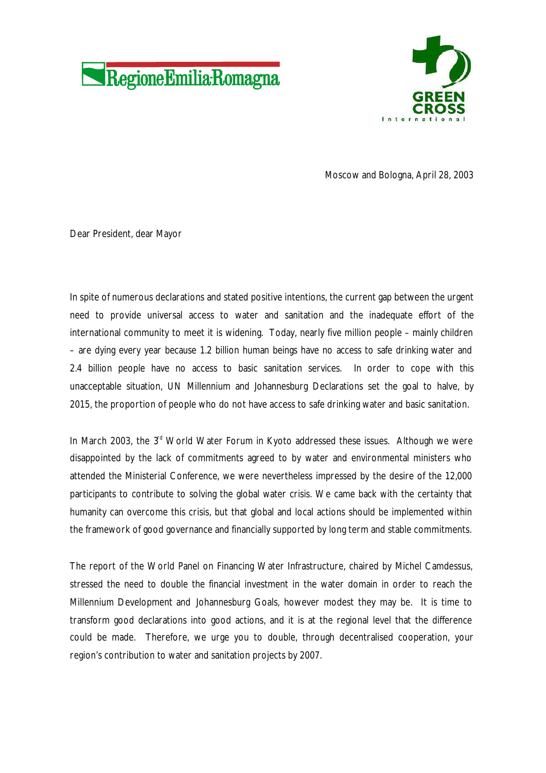



Moscow and Bologna, April 28, 2003

Dear President, dear Mayor

In spite of numerous declarations and stated positive intentions, the current gap between the urgent need to provide universal access to water and sanitation and the inadequate effort of the international community to meet it is widening. Today, nearly five million people – mainly children – are dying every year because 1.2 billion human beings have no access to safe drinking water and 2.4 billion people have no access to basic sanitation services. In order to cope with this unacceptable situation, UN Millennium and Johannesburg Declarations set the goal to halve, by 2015, the proportion of people who do not have access to safe drinking water and basic sanitation.

In March 2003, the  $3<sup>d</sup>$  World Water Forum in Kyoto addressed these issues. Although we were disappointed by the lack of commitments agreed to by water and environmental ministers who attended the Ministerial Conference, we were nevertheless impressed by the desire of the 12,000 participants to contribute to solving the global water crisis. We came back with the certainty that humanity can overcome this crisis, but that global and local actions should be implemented within the framework of good governance and financially supported by long term and stable commitments.

The report of the World Panel on Financing Water Infrastructure, chaired by Michel Camdessus, stressed the need to double the financial investment in the water domain in order to reach the Millennium Development and Johannesburg Goals, however modest they may be. It is time to transform good declarations into good actions, and it is at the regional level that the difference could be made. Therefore, we urge you to double, through decentralised cooperation, your region's contribution to water and sanitation projects by 2007.